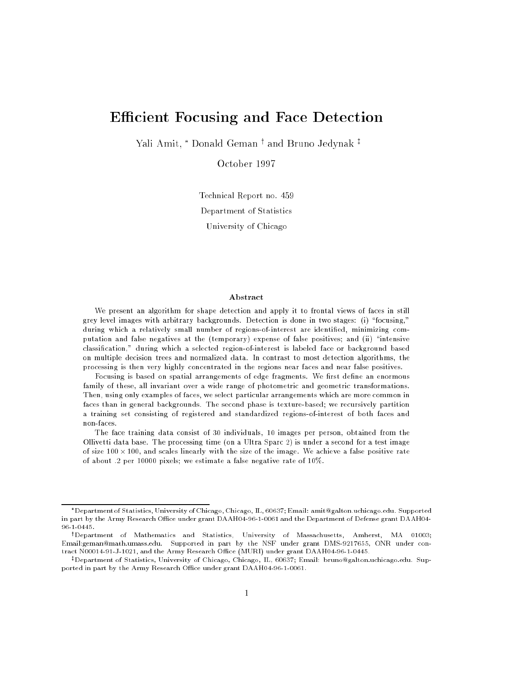# Ecient Focusing and Face Detection

Yali Amit, \* Donald Geman † and Bruno Jedynak <del>†</del>

October 1997

Technical Report no. 459 Department of Statistics University of Chicago

### Abstract

we have an algorithm for shape and all an apply the shape of the strategic in the state of the still views in grey terms images with measuring backgrounds. Detection is done in two stages: (i)  $\cdots$  is done in  $\mathbb{R}^n$ during which a relative of relatively states of the regions-of-interest are identified, minimizing computation and false negatives at the (temporary) expense of false positives; and (ii) \intensive classication," during which a selected region-of-interest is labeled face or background based on multiple decision trees and normalized data. In contrast to most detection algorithms, the processing is then very highly concentrated in the regions near faces and near false positives.

Focusing is based on spatial arrangements of edge fragments. We rst dene an enormous family of these, all invariant over a wide range of photometric and geometric transformations. Then, using only examples of faces, we select particular arrangements which are more common in faces than in general backgrounds. The second phase is texture-based; we recursively partition a training set consisting of register and and standardized regions-of-interest of the set of a both faces and non-faces.

The face training data consist of 30 individuals, 10 images per person, obtained from the Ollivetti data base. The processing time (on a Ultra Sparc 2) is under a second for a test image of size in the size is size of the size of the size of the image. We achieve a false positive rate of about .2 per 10000 pixels; we estimate a false negative rate of 10%.

 $^*$ Department of Statistics, University of Chicago, Chicago, IL, 60637; Email: amit@galton.uchicago.edu. Supported in part by the Army Research Office under grant DAAH04-96-1-0061 and the Department of Defense grant DAAH04-96-1-0445.

yDepartment of Mathematics and Statistics, University of Massachusetts, Amherst, MA 01003; Email:geman@math.umass.edu. Supported in part by the NSF under grant DMS-9217655, ONR under contract N00014-91-J-1021, and the Army Research Office (MURI) under grant DAAH04-96-1-0445.

zDepartment of Statistics, University of Chicago, Chicago, IL, 60637; Email: bruno@galton.uchicago.edu. Supported in part by the Army Research Office under grant DAAH04-96-1-0061.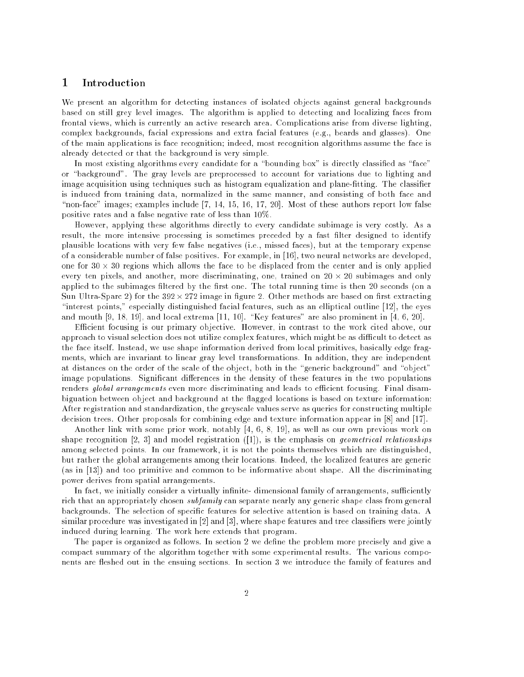#### $\mathbf 1$ **Introduction**

We present an algorithm for detecting instances of isolated objects against general backgrounds based on still grey level images. The algorithm is applied to detecting and localizing faces from frontal views, which is currently an active research area. Complications arise from diverse lighting, complex backgrounds, facial expressions and extra facial features (e.g., beards and glasses). One of the main applications is face recognition; indeed, most recognition algorithms assume the face is already detected or that the background is very simple.

In most existing algorithms every candidate for a "bounding box" is directly classified as "face" or "background". The gray levels are preprocessed to account for variations due to lighting and image acquisition using techniques such as histogram equalization and plane-fitting. The classifier is induced from training data, normalized in the same manner, and consisting of both face and "non-face" images; examples include  $[7, 14, 15, 16, 17, 20]$ . Most of these authors report low false positive rates and a false negative rate of less than 10%.

However, applying these algorithms directly to every candidate subimage is very costly. As a result, the more intensive processing is sometimes preceded by a fast filter designed to identify plausible locations with very few false negatives (i.e., missed faces), but at the temporary expense of a considerable number of false positives. For example, in [16], two neural networks are developed, one for 30 regions which allows the face to be displaced from the face to be displaced from the cent every ten pixels, and another, more discriminating, one, trained on 20 - 20 subimages and only applied to the subimages filtered by the first one. The total running time is then 20 seconds (on a Sun Ultra-Sparc 2) for the 392 - 272 image in gure 2. Other methods are based on rst extracting "interest points," especially distinguished facial features, such as an elliptical outline  $[12]$ , the eyes and mouth  $[9, 18, 19]$ , and local extrema  $[11, 10]$ . "Key features" are also prominent in  $[4, 6, 20]$ .

Efficient focusing is our primary objective. However, in contrast to the work cited above, our approach to visual selection does not utilize complex features, which might be as difficult to detect as the face itself. Instead, we use shape information derived from local primitives, basically edge fragments, which are invariant to linear gray level transformations. In addition, they are independent at distances on the order of the scale of the object, both in the "generic background" and "object" image populations. Significant differences in the density of these features in the two populations renders *global arrangements* even more discriminating and leads to efficient focusing. Final disambiguation between object and background at the flagged locations is based on texture information: After registration and standardization, the greyscale values serve as queries for constructing multiple decision trees. Other proposals for combining edge and texture information appear in [8] and [17].

Another link with some prior work, notably [4, 6, 8, 19], as well as our own previous work on shape recognition  $[2, 3]$  and model registration  $([1])$ , is the emphasis on geometrical relationships among selected points. In our framework, it is not the points themselves which are distinguished, but rather the global arrangements among their locations. Indeed, the localized features are generic (as in [13]) and too primitive and common to be informative about shape. All the discriminating power derives from spatial arrangements.

In fact, we initially consider a virtually infinite-dimensional family of arrangements, sufficiently rich that an appropriately chosen *subfamily* can separate nearly any generic shape class from general backgrounds. The selection of specic features for selective attention is based on training data. A similar procedure was investigated in [2] and [3], where shape features and tree classifiers were jointly induced during learning. The work here extends that program.

The paper is organized as follows. In section 2 we define the problem more precisely and give a compact summary of the algorithm together with some experimental results. The various components are fleshed out in the ensuing sections. In section 3 we introduce the family of features and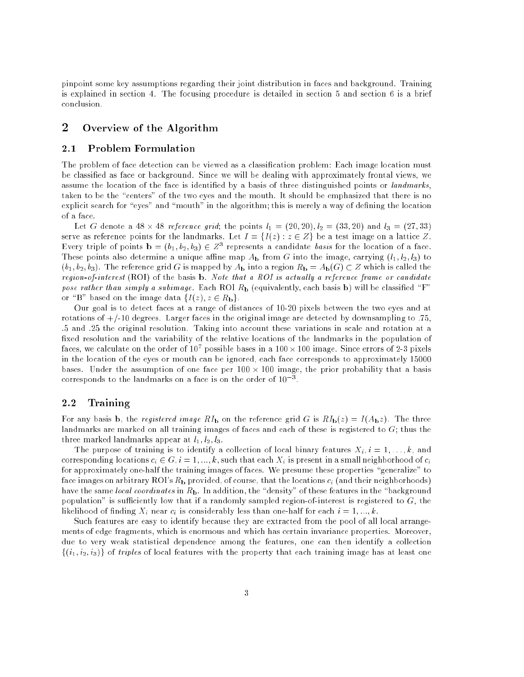pinpoint some key assumptions regarding their joint distribution in faces and background. Training is explained in section 4. The focusing procedure is detailed in section 5 and section 6 is a brief conclusion.

## <sup>2</sup> Overview of the Algorithm

### 2.1 Problem Formulation

The problem of face detection can be viewed as a classication problem: Each image location must be classified as face or background. Since we will be dealing with approximately frontal views, we assume the location of the face is identified by a basis of three distinguished points or *landmarks*, taken to be the "centers" of the two eyes and the mouth. It should be emphasized that there is no explicit search for "eyes" and "mouth" in the algorithm; this is merely a way of defining the location of a face.

Let G denote a  $48 \times 48$  reference grid; the points  $l_1 = (20, 20), l_2 = (33, 20)$  and  $l_3 = (27, 33)$ serve as reference points for the landmarks. Let  $I = \{I(z) : z \in Z\}$  be a test image on a lattice Z. Every triple of points  $\mathbf{b} = (b_1, b_2, b_3) \in \mathbb{Z}^3$  represents a candidate basis for the location of a face. These points also determine a unique affine map  $A_{\bf b}$  from G into the image, carrying  $(l_1, l_2, l_3)$  to  $(b_1, b_2, b_3)$ . The reference grid G is mapped by  $A_{\bf b}$  into a region  $R_{\bf b} = A_{\bf b}(G) \subset Z$  which is called the region-of-interest (ROI) of the basis b. Note that a ROI is actually a reference frame or candidate pose rather than simply a subimage. Each ROI  $R_b$  (equivalently, each basis b) will be classified "F" or "B" based on the image data  $\{I(z), z \in R_{\bf{b}}\}.$ 

Our goal is to detect faces at a range of distances of 10-20 pixels between the two eyes and at rotations of  $+/-10$  degrees. Larger faces in the original image are detected by downsampling to .75, .5 and .25 the original resolution. Taking into account these variations in scale and rotation at a fixed resolution and the variability of the relative locations of the landmarks in the population of races, we carculate on the order of 10° possible bases in a 100  $\times$  100 image. Since errors of 2-3 pixels in the location of the eyes or mouth can be ignored, each face corresponds to approximately 15000 bases. Under the assumption of one face per face the index probability that a basis of the probability that a corresponds to the landmarks on a face is on the order of 10  $^\circ$  .

### 2.2 Training

For any basis b, the *registered image RI*<sub>b</sub> on the reference grid G is  $RI_b(z) = I(A_b z)$ . The three landmarks are marked on all training images of faces and each of these is registered to  $G$ ; thus the three marked landmarks appear at  $l_1$ ,  $l_2$ ,  $l_3$ .

The purpose of training is to identify a collection of local binary features  $X_i, i = 1, \ldots, k$ , and corresponding locations  $c_i \in G, i = 1, ..., k$ , such that each  $X_i$  is present in a small neighborhood of  $c_i$ for approximately one-half the training images of faces. We presume these properties "generalize" to face images on arbitrary ROI's  $R_b$  provided, of course, that the locations  $c_i$  (and their neighborhoods) have the same local coordinates in  $R<sub>b</sub>$ . In addition, the "density" of these features in the "background population" is sufficiently low that if a randomly sampled region-of-interest is registered to  $G$ , the likelihood of finding  $X_i$  near  $c_i$  is considerably less than one-half for each  $i = 1, ..., k$ .

Such features are easy to identify because they are extracted from the pool of all local arrangements of edge fragments, which is enormous and which has certain invariance properties. Moreover, due to very weak statistical dependence among the features, one can then identify a collection  $\{(i_1,i_2,i_3)\}\$  of triples of local features with the property that each training image has at least one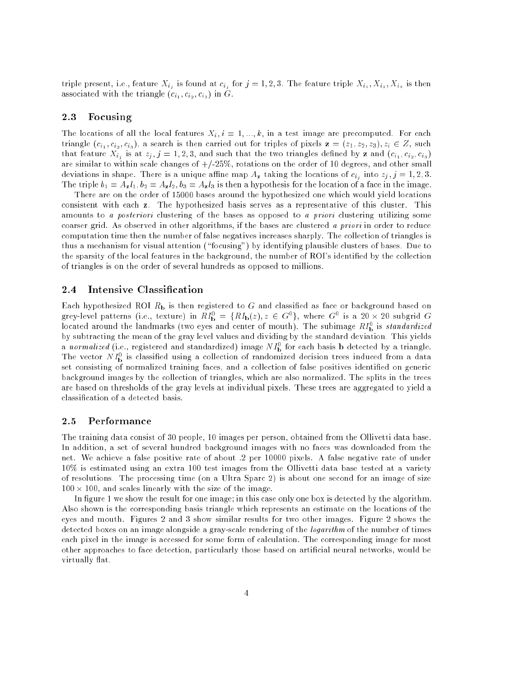triple present, i.e., feature  $X_{i_j}$  is found at  $c_i$ , for  $j=1,2,3$ . The feature triple  $X_{i_1}, X_{i_2}, X_{i_3}$  is then associated with the triangle  $(c_{i_1}, c_{i_2}, c_{i_3})$  in G.

## 2.3 Focusing

The locations of all the local features  $X_i$ ,  $i = 1, ..., k$ , in a test image are precomputed. For each triangle  $(c_{i_1}, c_{i_2}, c_{i_3})$ , a search is then carried out for triples of pixels  $z = (z_1, z_2, z_3), z_i \in Z$ , such that feature  $X_{i_j}$  is at  $z_j$ ,  $j=1,2,3$ , and such that the two triangles defined by z and  $(c_{i_1},c_{i_2},c_{i_3})$ are similar to within scale changes of  $+/-25\%$ , rotations on the order of 10 degrees, and other small deviations in shape. There is a unique affine map  $A_{\mathbf{z}}$  taking the locations of  $c_i$ , into  $z_j$ ,  $j = 1, 2, 3$ . The triple  $b_1 = A_z l_1$ ,  $b_2 = A_z l_2$ ,  $b_3 = A_z l_3$  is then a hypothesis for the location of a face in the image.

There are on the order of 15000 bases around the hypothesized one which would yield locations consistent with each z. The hypothesized basis serves as a representative of this cluster. This amounts to a posteriori clustering of the bases as opposed to a priori clustering utilizing some coarser grid. As observed in other algorithms, if the bases are clustered a priori in order to reduce computation time then the number of false negatives increases sharply. The collection of triangles is thus a mechanism for visual attention ("focusing") by identifying plausible clusters of bases. Due to the sparsity of the local features in the background, the number of ROI's identied by the collection of triangles is on the order of several hundreds as opposed to millions.

### 2.4 Intensive Classification

Each hypothesized ROI  $R<sub>b</sub>$  is then registered to  $G$  and classified as face or background based on grey-level patterns (i.e., texture) in  $RI_{\bf b}^0 = \{RI_{\bf b}(z), z \in G^0\}$ , where  $G^0$  is a  $20 \times 20$  subgrid  $G$ located around the landmarks (two eyes and center of mouth). The subimage  $RI_{\bf b}^0$  is standardized by subtracting the mean of the gray level values and dividing by the standard deviation. This yields a normalized (i.e., registered and standardized) image  $N I_{\rm b}^0$  for each basis **b** detected by a triangle. The vector  $N_{\rm b}^{\rm u}$  is classified using a collection of randomized decision trees induced from a data set consisting of normalized training faces, and a collection of false positives identified on generic background images by the collection of triangles, which are also normalized. The splits in the trees are based on thresholds of the gray levels at individual pixels. These trees are aggregated to yield a classication of a detected basis.

### 2.5 Performance

The training data consist of 30 people, 10 images per person, obtained from the Ollivetti data base. In addition, a set of several hundred background images with no faces was downloaded from the net. We achieve a false positive rate of about .2 per 10000 pixels. A false negative rate of under 10% is estimated using an extra 100 test images from the Ollivetti data base tested at a variety of resolutions. The processing time (on a Ultra Sparc 2) is about one second for an image of size 100 - 100, and scales linearly with the size of the image.

In figure 1 we show the result for one image; in this case only one box is detected by the algorithm. Also shown is the corresponding basis triangle which represents an estimate on the locations of the eyes and mouth. Figures 2 and 3 show similar results for two other images. Figure 2 shows the detected boxes on an image alongside a gray-scale rendering of the *logarithm* of the number of times each pixel in the image is accessed for some form of calculation. The corresponding image for most other approaches to face detection, particularly those based on articial neural networks, would be virtually flat.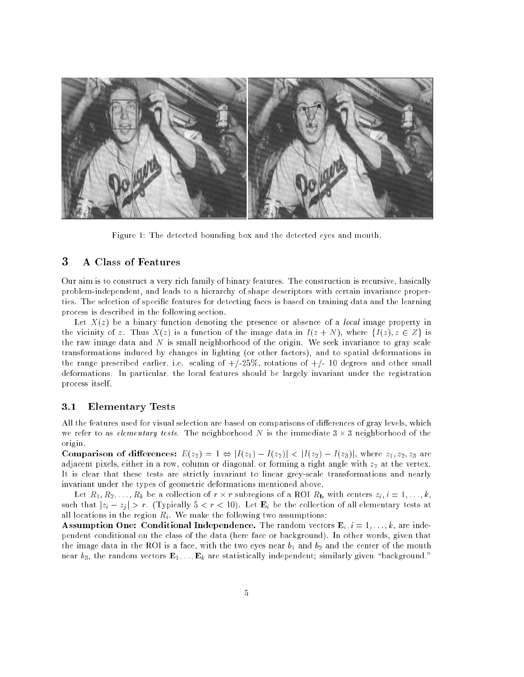

Figure 1: The detected bounding box and the detected eyes and mouth.

## <sup>3</sup> A Class of Features

Our aim is to construct a very rich family of binary features. The construction is recursive, basically problem-independent, and leads to a hierarchy of shape descriptors with certain invariance properties. The selection of specic features for detecting faces is based on training data and the learning process is described in the following section.

Let  $X(z)$  be a binary function denoting the presence or absence of a *local* image property in the vicinity of z. Thus  $X(z)$  is a function of the image data in  $I(z + N)$ , where  $\{I(z), z \in Z\}$  is the raw image data and  $N$  is small neighborhood of the origin. We seek invariance to gray scale transformations induced by changes in lighting (or other factors), and to spatial deformations in the range prescribed earlier, i.e. scaling of  $+/-25\%$ , rotations of  $+/-10$  degrees and other small deformations. In particular, the local features should be largely invariant under the registration process itself.

#### 3.1 Elementary Tests  $3.1$

All the features used for visual selection are based on comparisons of differences of gray levels, which we refer to as *elementary tests*. The neighborhood N is the immediate  $3 \times 3$  neighborhood of the origin.

**Comparison of differences:**  $E(z_2) = 1 \Leftrightarrow |I(z_1) - I(z_2)| < |I(z_2) - I(z_3)|$ , where  $z_1, z_2, z_3$  are adjacent pixels, either in a row, column or diagonal, or forming a right angle with  $z_2$  at the vertex. It is clear that these tests are strictly invariant to linear grey-scale transformations and nearly invariant under the types of geometric deformations mentioned above.

Let  $R_1, R_2, \ldots, R_k$  be a collection of  $r \times r$  subregions of a ROI  $R_{\bf b}$  with centers  $z_i, i = 1, \ldots, k$ , such that  $|z_i - z_i| > r$ . (Typically  $5 < r < 10$ ). Let  $\mathbf{E}_i$  be the collection of all elementary tests at all locations in the region  $R_i$ . We make the following two assumptions:

**Assumption One: Conditional Independence.** The random vectors  $\mathbf{E}_i$ ,  $i = 1, \ldots, k$ , are independent conditional on the class of the data (here face or background). In other words, given that the image data in the ROI is a face, with the two eyes near  $b_1$  and  $b_2$  and the center of the mouth near  $b_3$ , the random vectors  $\mathbf{E}_1, ..., \mathbf{E}_k$  are statistically independent; similarly given "background."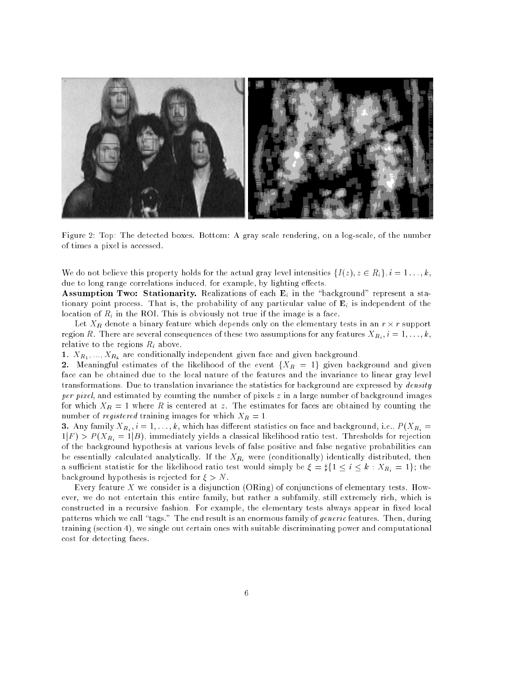

Figure 2: Top: The detected boxes. Bottom: A gray scale rendering, on a log-scale, of the number of times a pixel is accessed.

We do not believe this property holds for the actual gray level intensities  $\{I(z), z \in R_i\}, i = 1, ..., k$ , due to long range correlations induced, for example, by lighting effects.

**Assumption Two: Stationarity.** Realizations of each  $\mathbf{E}_i$  in the "background" represent a stationary point process. That is, the probability of any particular value of  $\mathbf{E}_i$  is independent of the location of  $R_i$  in the ROI. This is obviously not true if the image is a face.

Let  $X_R$  denote a binary feature which depends only on the elementary tests in an  $r \times r$  support region R. There are several consequences of these two assumptions for any features  $X_{R_i}, i=1,\ldots,k,$ relative to the regions  $R_i$  above.

1.  $X_{R_1},...,X_{R_k}$  are conditionally independent given face and given background.

2. Meaningful estimates of the likelihood of the event  $\{X_R = 1\}$  given background and given face can be obtained due to the local nature of the features and the invariance to linear gray level transformations. Due to translation invariance the statistics for background are expressed by density per pixel, and estimated by counting the number of pixels  $z$  in a large number of background images for which  $X_R = 1$  where R is centered at z. The estimates for faces are obtained by counting the number of *registered* training images for which  $X_R = 1$ .

**3.** Any family  $X_{R_i}$  ,  $i = 1, \ldots, k$ , which has different statistics on face and background, i.e.,  $P(X_{R_i} =$  $1|F| > P(X_{R_i} = 1|B)$ , immediately yields a classical likelihood ratio test. Thresholds for rejection of the background hypothesis at various levels of false positive and false negative probabilities can be essentially calculated analytically. If the  $X_{R_i}$  were (conditionally) identically distributed, then a sufficient statistic for the likelihood ratio test would simply be  $\xi = \frac{4}{3} \{ 1 \le i \le k : X_{R_i} = 1 \}$ ; the background hypothesis is rejected for  $\xi > N$ .

Every feature X we consider is a disjunction (ORing) of conjunctions of elementary tests. However, we do not entertain this entire family, but rather a subfamily, still extremely rich, which is constructed in a recursive fashion. For example, the elementary tests always appear in fixed local patterns which we call "tags." The end result is an enormous family of *generic* features. Then, during training (section 4), we single out certain ones with suitable discriminating power and computational cost for detecting faces.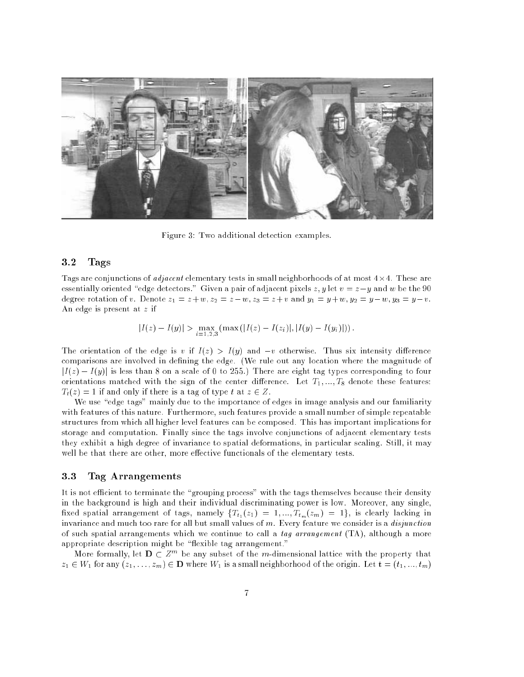

Figure 3: Two additional detection examples.

### 3.2 Tags

Tags are conjunctions of adjacent elementary tests in small neighborhoods of at most 4-4. These are essentially oriented "edge detectors." Given a pair of adjacent pixels z, y let  $v = z - y$  and w be the 90 degree rotation of v. Denote  $z_1 = z + w$ ,  $z_2 = z - w$ ,  $z_3 = z + v$  and  $y_1 = y + w$ ,  $y_2 = y - w$ ,  $y_3 = y - v$ . An edge is present at z if

$$
|I(z) - I(y)| > \max_{i=1,2,3} (\max (|I(z) - I(z_i)|, |I(y) - I(y_i)|)).
$$

The orientation of the edge is v if  $I(z) > I(y)$  and  $-v$  otherwise. Thus six intensity difference comparisons are involved in defining the edge. (We rule out any location where the magnitude of  $|I(z) - I(y)|$  is less than 8 on a scale of 0 to 255.) There are eight tag types corresponding to four orientations matched with the sign of the center difference. Let  $T_1, ..., T_8$  denote these features:  $T_t(z) = 1$  if and only if there is a tag of type t at  $z \in Z$ .

We use "edge tags" mainly due to the importance of edges in image analysis and our familiarity with features of this nature. Furthermore, such features provide a small number of simple repeatable structures from which all higher level features can be composed. This has important implications for storage and computation. Finally since the tags involve conjunctions of adjacent elementary tests they exhibit a high degree of invariance to spatial deformations, in particular scaling. Still, it may well be that there are other, more effective functionals of the elementary tests.

### 3.3 Tag Arrangements

It is not efficient to terminate the "grouping process" with the tags themselves because their density in the background is high and their individual discriminating power is low. Moreover, any single, fixed spatial arrangement of tags, namely  $\{T_{t_1}(z_1) = 1, ..., T_{t_m}(z_m) = 1\}$ , is clearly lacking in invariance and much too rare for all but small values of  $m$ . Every feature we consider is a *disjunction* of such spatial arrangements which we continue to call a tag arrangement  $(TA)$ , although a more appropriate description might be "flexible tag arrangement."

More formally, let  $\mathbf{D} \subset \mathbb{Z}^m$  be any subset of the m-dimensional lattice with the property that  $z_1 \in W_1$  for any  $(z_1, \ldots, z_m) \in \mathbf{D}$  where  $W_1$  is a small neighborhood of the origin. Let  $\mathbf{t} = (t_1, \ldots, t_m)$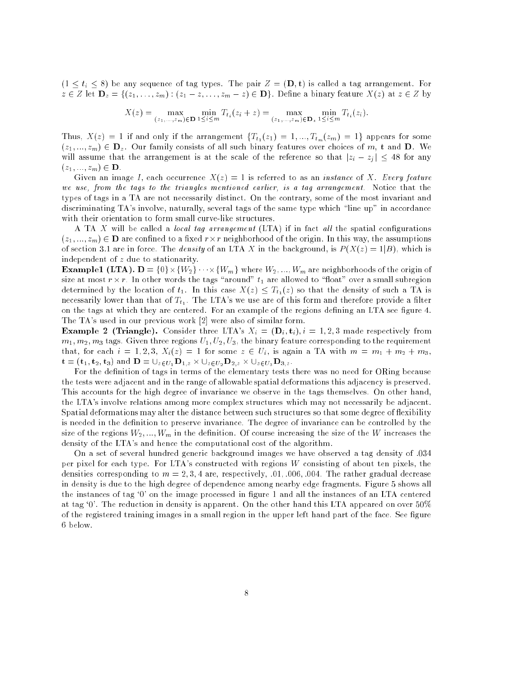$(1 \le t_i \le 8)$  be any sequence of tag types. The pair  $Z = (\mathbf{D}, \mathbf{t})$  is called a tag arrangement. For  $z \in Z$  let  $\mathbf{D}_z = \{(z_1, \ldots, z_m) : (z_1 - z, \ldots, z_m - z) \in \mathbf{D}\}\)$ . Define a binary feature  $X(z)$  at  $z \in Z$  by

$$
X(z) = \max_{(z_1, ..., z_m) \in \mathbf{D}} \min_{1 \le i \le m} T_{t_i}(z_i + z) = \max_{(z_1, ..., z_m) \in \mathbf{D}_z} \min_{1 \le i \le m} T_{t_i}(z_i).
$$

Thus,  $X(z) = 1$  if and only if the arrangement  ${T_{t_1}(z_1) = 1, ..., T_{t_m}(z_m) = 1}$  appears for some  $(z_1, ..., z_m) \in \mathbf{D}_z$ . Our family consists of all such binary features over choices of m, t and  $\mathbf{D}$ . We will assume that the arrangement is at the scale of the reference so that  $|z_i - z_j| \leq 48$  for any  $(z_1, ..., z_m) \in \mathbf{D}$ .

Given an image I, each occurrence  $X(z) = 1$  is referred to as an *instance* of X. Every feature we use, from the tags to the triangles mentioned earlier, is a tag arrangement. Notice that the types of tags in a TA are not necessarily distinct. On the contrary, some of the most invariant and discriminating TA's involve, naturally, several tags of the same type which "line up" in accordance with their orientation to form small curve-like structures.

A TA X will be called a *local tag arrangement* (LTA) if in fact all the spatial configurations  $(z_1,...,z_m)\in \mathbf{D}$  are confined to a fixed  $r\times r$  neighborhood of the origin. In this way, the assumptions of section 3.1 are in force. The *density* of an LTA X in the background, is  $P(X(z) = 1|B)$ , which is independent of z due to stationarity.

**Example1 (LTA).**  $D = \{0\} \times \{W_2\} \cdots \times \{W_m\}$  where  $W_2, ..., W_m$  are neighborhoods of the origin of size at most  $r \times r$ . In other words the tags "around"  $t_1$  are allowed to "float" over a small subregion determined by the location of  $t_1$ . In this case  $X(z) \leq T_{t_1}(z)$  so that the density of such a TA is necessarily lower than that of  $T_{t_1}$ . The LTA's we use are of this form and therefore provide a filter on the tags at which they are centered. For an example of the regions defining an LTA see figure 4. The TA's used in our previous work [2] were also of similar form.

**Example 2 (Triangle).** Consider three LTA's  $X_i = (\mathbf{D}_i, \mathbf{t}_i), i = 1, 2, 3$  made respectively from  $m_1, m_2, m_3$  tags. Given three regions  $U_1, U_2, U_3$ , the binary feature corresponding to the requirement that, for each  $i = 1, 2, 3, X_i(z) = 1$  for some  $z \in U_i$ , is again a TA with  $m = m_1 + m_2 + m_3$ ,  $t = (t_1, t_2, t_3)$  and  $t = \forall z_i t_0 + t_1 z_1 \cdots \forall z_i t_0 z_i + t_2 z_i z_i$ 

For the definition of tags in terms of the elementary tests there was no need for ORing because the tests were adjacent and in the range of allowable spatial deformations this adjacency is preserved. This accounts for the high degree of invariance we observe in the tags themselves. On other hand, the LTA's involve relations among more complex structures which may not necessarily be adjacent. Spatial deformations may alter the distance between such structures so that some degree of flexibility is needed in the definition to preserve invariance. The degree of invariance can be controlled by the size of the regions  $W_2, ..., W_m$  in the definition. Of course increasing the size of the W increases the density of the LTA's and hence the computational cost of the algorithm.

On a set of several hundred generic background images we have observed a tag density of :034 per pixel for each type. For LTA's constructed with regions W consisting of about ten pixels, the densities corresponding to  $m = 2, 3, 4$  are, respectively, 0.006, 0.004. The rather gradual decrease in density is due to the high degree of dependence among nearby edge fragments. Figure 5 shows all the instances of tag '0' on the image processed in figure 1 and all the instances of an LTA centered at tag '0'. The reduction in density is apparent. On the other hand this LTA appeared on over 50% of the registered training images in a small region in the upper left hand part of the face. See figure 6 below.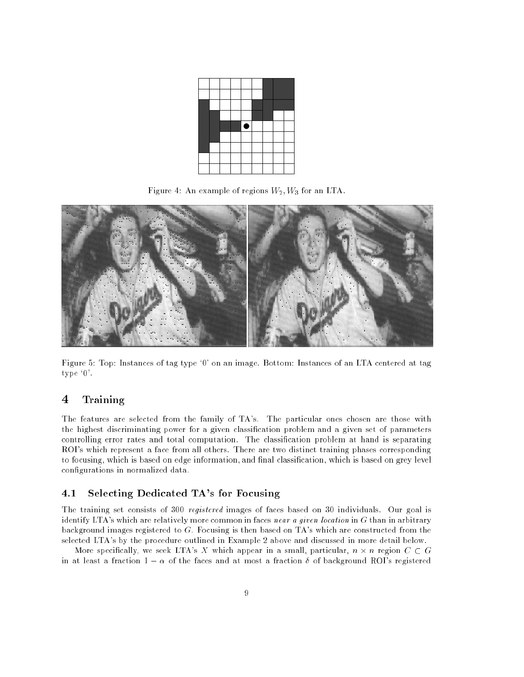Figure 4: An example of regions  $W_2$ ,  $W_3$  for an LTA.



Figure 5: Top: Instances of tag type '0' on an image. Bottom: Instances of an LTA centered at tag type `0'.

## <sup>4</sup> Training

The features are selected from the family of TA's. The particular ones chosen are those with the highest discriminating power for a given classification problem and a given set of parameters controlling error rates and total computation. The classication problem at hand is separating ROI's which represent a face from all others. There are two distinct training phases corresponding to focusing, which is based on edge information, and final classification, which is based on grey level congurations in normalized data.

## 4.1 Selecting Dedicated TA's for Focusing

The training set consists of 300 registered images of faces based on 30 individuals. Our goal is identify LTA's which are relatively more common in faces near a given location in  $G$  than in arbitrary background images registered to  $G$ . Focusing is then based on TA's which are constructed from the selected LTA's by the procedure outlined in Example 2 above and discussed in more detail below.

More specifically, we seek LTA's X which appear in a small, particular,  $n \times n$  region  $C \subset G$ in at least a fraction  $1 - \alpha$  of the faces and at most a fraction  $\delta$  of background ROI's registered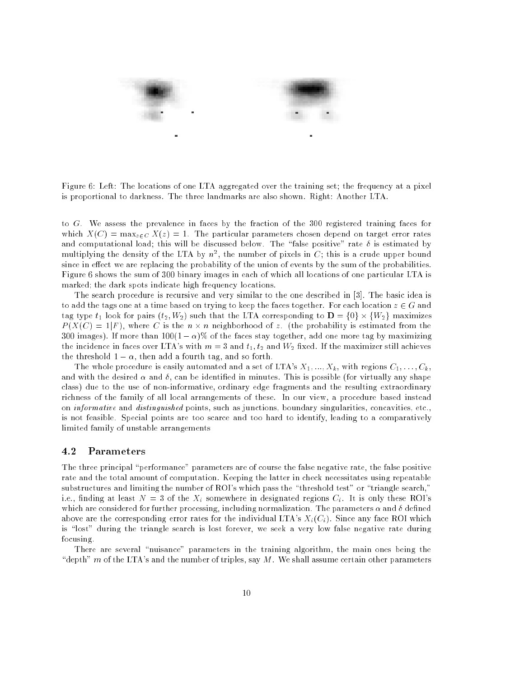

Figure 6: Left: The locations of one LTA aggregated over the training set; the frequency at a pixel is proportional to darkness. The three landmarks are also shown. Right: Another LTA.

to G. We assess the prevalence in faces by the fraction of the 300 registered training faces for which  $X(C) = \max_{z \in C} X(z) = 1$ . The particular parameters chosen depend on target error rates and computational load; this will be discussed below. The "false positive" rate  $\delta$  is estimated by multiplying the density of the LTA by  $n^2$ , the number of pixels in C; this is a crude upper bound since in effect we are replacing the probability of the union of events by the sum of the probabilities. Figure 6 shows the sum of 300 binary images in each of which all locations of one particular LTA is marked; the dark spots indicate high frequency locations.

The search procedure is recursive and very similar to the one described in [3]. The basic idea is to add the tags one at a time based on trying to keep the faces together. For each location  $z \in G$  and tag type  $t_1$  look for pairs  $(t_2, W_2)$  such that the LTA corresponding to  $\mathbf{D} = \{0\} \times \{W_2\}$  maximizes  $P(X|C) = 1|F$ ), where C is the  $n \times n$  neighborhood of z. (the probability is estimated from the 300 images). If more than  $100(1 - \alpha)$ % of the faces stay together, add one more tag by maximizing the incidence in faces over LTA's with  $m=3$  and  $t_1, t_2$  and  $W_2$  fixed. If the maximizer still achieves the threshold  $1 - \alpha$ , then add a fourth tag, and so forth.

The whole procedure is easily automated and a set of LTA's  $X_1, ..., X_k$ , with regions  $C_1, ..., C_k$ , and with the desired  $\alpha$  and  $\delta$ , can be identified in minutes. This is possible (for virtually any shape class) due to the use of non-informative, ordinary edge fragments and the resulting extraordinary richness of the family of all local arrangements of these. In our view, a procedure based instead on informative and distinguished points, such as junctions, boundary singularities, concavities, etc., is not feasible. Special points are too scarce and too hard to identify, leading to a comparatively limited family of unstable arrangements

### 4.2 Parameters

The three principal "performance" parameters are of course the false negative rate, the false positive rate and the total amount of computation. Keeping the latter in check necessitates using repeatable substructures and limiting the number of ROI's which pass the "threshold test" or "triangle search," i.e., finding at least  $N=3$  of the  $X_i$  somewhere in designated regions  $C_i$ . It is only these ROI's which are considered for further processing, including normalization. The parameters  $\alpha$  and  $\delta$  defined above are the corresponding error rates for the individual LTA's  $X_i(C_i)$ . Since any face ROI which is "lost" during the triangle search is lost forever, we seek a very low false negative rate during focusing.

There are several "nuisance" parameters in the training algorithm, the main ones being the "depth" m of the LTA's and the number of triples, say M. We shall assume certain other parameters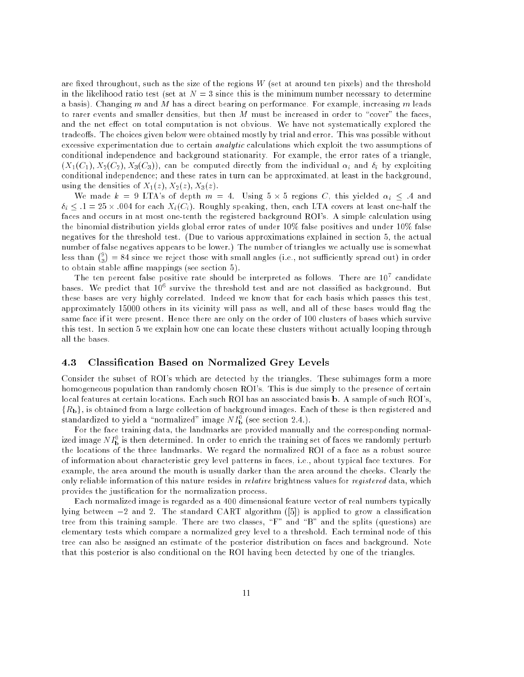are fixed throughout, such as the size of the regions  $W$  (set at around ten pixels) and the threshold in the likelihood ratio test (set at  $N=3$  since this is the minimum number necessary to determine a basis). Changing  $m$  and  $M$  has a direct bearing on performance. For example, increasing  $m$  leads to rarer events and smaller densities, but then  $M$  must be increased in order to "cover" the faces, and the net effect on total computation is not obvious. We have not systematically explored the tradeoffs. The choices given below were obtained mostly by trial and error. This was possible without excessive experimentation due to certain analytic calculations which exploit the two assumptions of conditional independence and background stationarity. For example, the error rates of a triangle,  $(X_1(C_1), X_2(C_2), X_3(C_3))$ , can be computed directly from the individual  $\alpha_i$  and  $\delta_i$  by exploiting conditional independence; and these rates in turn can be approximated, at least in the background, using the densities of  $X_1(z)$ ,  $X_2(z)$ ,  $X_3(z)$ .

We made  $k = 9$  LTA's of depth  $m = 4$ . Using  $5 \times 5$  regions C, this yielded  $\alpha_i \leq .4$  and  $\delta_i \leq 1 = 25 \times 0.004$  for each  $X_i(C_i)$ . Roughly speaking, then, each LTA covers at least one-half the faces and occurs in at most one-tenth the registered background ROI's. A simple calculation using the binomial distribution yields global error rates of under 10% false positives and under 10% false negatives for the threshold test. (Due to various approximations explained in section 5, the actual number of false negatives appears to be lower.) The number of triangles we actually use is somewhat less than  $\binom{9}{9}$ = 84 since we reject those with small angles (i.e., not suciently spread out) in order to obtain stable ane mappings (see section 5).

The ten percent false positive rate should be interpreted as follows. There are 107 candidate pases. We predict that 10° survive the threshold test and are not classified as packground. But these bases are very highly correlated. Indeed we know that for each basis which passes this test, approximately 15000 others in its vicinity will pass as well, and all of these bases would ag the same face if it were present. Hence there are only on the order of 100 clusters of bases which survive this test. In section 5 we explain how one can locate these clusters without actually looping through all the bases.

### 4.3 Classication Based on Normalized Grey Levels

Consider the subset of ROI's which are detected by the triangles. These subimages form a more homogeneous population than randomly chosen ROI's. This is due simply to the presence of certain local features at certain locations. Each such ROI has an associated basis b. A sample of such ROI's,  ${R<sub>b</sub>}$ , is obtained from a large collection of background images. Each of these is then registered and standardized to yield a "normalized" image  $NI_{\mathbf{b}}^{0}$  (see section 2.4.).

For the face training data, the landmarks are provided manually and the corresponding normalized image  $N I_{\rm b}^0$  is then determined. In order to enrich the training set of faces we randomly perturb the locations of the three landmarks. We regard the normalized ROI of a face as a robust source of information about characteristic grey level patterns in faces, i.e., about typical face textures. For example, the area around the mouth is usually darker than the area around the cheeks. Clearly the only reliable information of this nature resides in *relative* brightness values for *registered* data, which provides the justication for the normalization process.

Each normalized image is regarded as a 400 dimensional feature vector of real numbers typically lying between  $-2$  and 2. The standard CART algorithm ([5]) is applied to grow a classification tree from this training sample. There are two classes, "F" and "B" and the splits (questions) are elementary tests which compare a normalized grey level to a threshold. Each terminal node of this tree can also be assigned an estimate of the posterior distribution on faces and background. Note that this posterior is also conditional on the ROI having been detected by one of the triangles.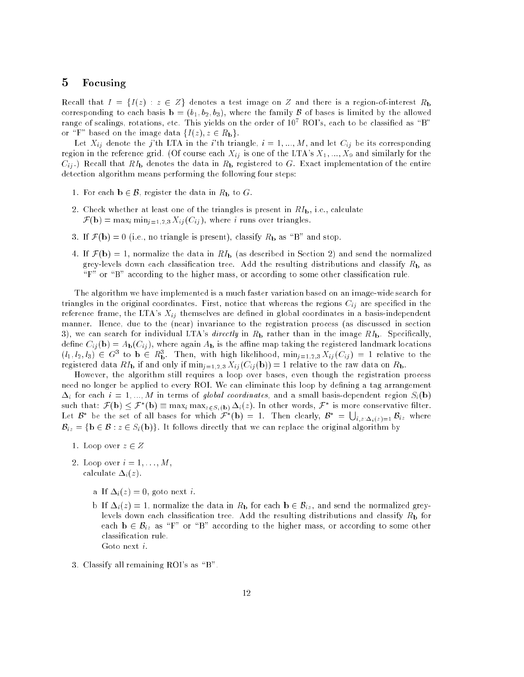## <sup>5</sup> Focusing

Recall that  $I = \{I(z) : z \in Z\}$  denotes a test image on Z and there is a region-of-interest  $R_{\bf{b}}$ corresponding to each basis  $\mathbf{b} = (b_1, b_2, b_3)$ , where the family  $\mathcal B$  of bases is limited by the allowed range of scalings, rotations, etc. This yields on the order of  $10^7$  ROI's, each to be classified as "B" or "F" based on the image data  $\{I(z), z \in R_{\bf{b}}\}.$ 

Let  $X_{ij}$  denote the j'th LTA in the i'th triangle,  $i = 1, ..., M$ , and let  $C_{ij}$  be its corresponding region in the reference grid. (Of course each  $X_{ij}$  is one of the LTA's  $X_1, ..., X_9$  and similarly for the  $C_{ij}$ .) Recall that  $RI_{\mathbf{b}}$  denotes the data in  $R_{\mathbf{b}}$  registered to G. Exact implementation of the entire detection algorithm means performing the following four steps:

- 1. For each  $\mathbf{b} \in \mathcal{B}$ , register the data in  $R_{\mathbf{b}}$  to G.
- 2. Check whether at least one of the triangles is present in  $RI_{\mathbf{b}}$ , i.e., calculate  $\mathcal{F}(\mathbf{b}) = \max_i \min_{j=1,2,3} X_{ij}(C_{ij}),$  where i runs over triangles.
- 3. If  $\mathcal{F}(\mathbf{b}) = 0$  (i.e., no triangle is present), classify  $R_{\mathbf{b}}$  as "B" and stop.
- 4. If  $\mathcal{F}(\mathbf{b}) = 1$ , normalize the data in  $RI_{\mathbf{b}}$  (as described in Section 2) and send the normalized grey-levels down each classification tree. Add the resulting distributions and classify  $R<sub>b</sub>$  as "F" or "B" according to the higher mass, or according to some other classification rule.

The algorithm we have implemented is a much faster variation based on an image-wide search for triangles in the original coordinates. First, notice that whereas the regions  $C_{ij}$  are specified in the reference frame, the LTA's  $X_{ij}$  themselves are defined in global coordinates in a basis-independent manner. Hence, due to the (near) invariance to the registration process (as discussed in section 3), we can search for individual LTA's *directly* in  $R<sub>b</sub>$  rather than in the image  $R<sub>I<sub>b</sub></sub>$ . Specifically, define  $C_{ij}(\mathbf{b}) = A_{\mathbf{b}}(C_{ij})$ , where again  $A_{\mathbf{b}}$  is the affine map taking the registered landmark locations  $(l_1, l_2, l_3) \in G^3$  to  $\mathbf{b} \in R_{\mathbf{b}}^3$ . Then, with high likelihood,  $\min_{j=1,2,3} X_{ij}(C_{ij}) = 1$  relative to the registered data RI<sub>b</sub> if and only if min<sub>j=1,2,3</sub>  $X_{ij}(C_{ij}(\mathbf{b})) = 1$  relative to the raw data on R<sub>b</sub>.

However, the algorithm still requires a loop over bases, even though the registration process need no longer be applied to every ROI. We can eliminate this loop by defining a tag arrangement  $\Delta_i$  for each  $i = 1, ..., M$  in terms of global coordinates, and a small basis-dependent region  $S_i(\mathbf{b})$ such that:  $\mathcal{F}(\mathbf{b}) \leq \mathcal{F}^+(\mathbf{b}) \equiv \max_i \max_{z \in S_i(\mathbf{b})} \Delta_i(z)$ . In other words,  $\mathcal{F}^-$  is more conservative filter. Let  $\mathcal{B}^*$  be the set of all bases for which  $\mathcal{F}^*(\mathbf{b}) = 1$ . Then clearly,  $\mathcal{B}^* = \bigcup_{i,z:\Delta_i(z)=1} \mathcal{B}_{iz}$  where  $B_{iz} = \{ \mathbf{b} \in \mathcal{B} : z \in S_i(\mathbf{b}) \}.$  It follows directly that we can replace the original algorithm by

- 1. Loop over  $z \in Z$
- 2. Loop over  $i = 1, \ldots, M$ , calculate  $\Delta_i(z)$ .
	- a If  $\Delta_i(z) = 0$ , goto next i.
	- b If  $\Delta_i(z) = 1$ , normalize the data in  $R_b$  for each  $b \in \mathcal{B}_{iz}$ , and send the normalized greylevels down each classification tree. Add the resulting distributions and classify  $R_{\rm b}$  for each  $\mathbf{b} \in \mathcal{B}_{iz}$  as "F" or "B" according to the higher mass, or according to some other classication rule. Goto next i.
- 3. Classify all remaining ROI's as \B".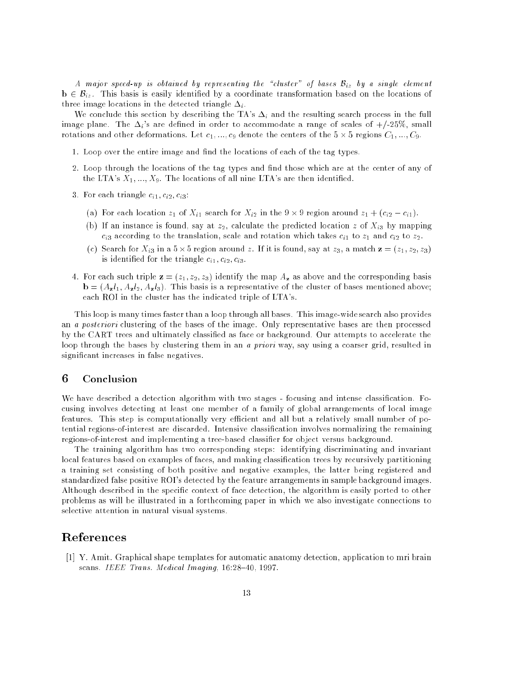A major speed-up is obtained by representing the "cluster" of bases  $\mathcal{B}_{iz}$  by a single element  $\mathbf{b} \in \mathcal{B}_{iz}$ . This basis is easily identified by a coordinate transformation based on the locations of three image locations in the detected triangle  $\Delta_i$ .

We conclude this section by describing the TA's  $\Delta_i$  and the resulting search process in the full image plane. The  $\Delta_i$ 's are defined in order to accommodate a range of scales of  $+/-25\%$ , small rotations and other deformations. Let  $c_1,...,c_9$  denote the centers of the  $5\times 5$  regions  $C_1,...,C_9.$ 

- 1. Loop over the entire image and find the locations of each of the tag types.
- 2. Loop through the locations of the tag types and find those which are at the center of any of the LTA's  $X_1, ..., X_9$ . The locations of all nine LTA's are then identified.
- 3. For each triangle  $c_{i1}, c_{i2}, c_{i3}$ :
	- (a) For each location  $z_1$  of  $X_{i1}$  search for  $X_{i2}$  in the 9  $\times$  9 region around  $z_1 + (c_{i2} c_{i1})$ .
	- (b) If an instance is found, say at  $z_2$ , calculate the predicted location z of  $X_{i3}$  by mapping  $c_{i3}$  according to the translation, scale and rotation which takes  $c_{i1}$  to  $z_1$  and  $c_{i2}$  to  $z_2$ .
	- (c) Search for  $X_{i3}$  in a  $5\times 5$  region around z. If it is found, say at  $z_3$ , a match  $\mathbf{z}=(z_1,z_2,z_3)$ is identified for the triangle  $c_{i1}, c_{i2}, c_{i3}$ .
- 4. For each such triple  $z = (z_1, z_2, z_3)$  identify the map  $A_z$  as above and the corresponding basis  $\mathbf{b} = (A_{\mathbf{z}}l_1, A_{\mathbf{z}}l_2, A_{\mathbf{z}}l_3)$ . This basis is a representative of the cluster of bases mentioned above; each ROI in the cluster has the indicated triple of LTA's.

This loop is many times faster than a loop through all bases. This image-wide search also provides an a posteriori clustering of the bases of the image. Only representative bases are then processed by the CART trees and ultimately classied as face or background. Our attempts to accelerate the loop through the bases by clustering them in an a priori way, say using a coarser grid, resulted in signicant increases in false negatives.

## <sup>6</sup> Conclusion

We have described a detection algorithm with two stages - focusing and intense classification. Focusing involves detecting at least one member of a family of global arrangements of local image features. This step is computationally very efficient and all but a relatively small number of potential regions-of-interest are discarded. Intensive classication involves normalizing the remaining regions-of-interest and implementing a tree-based classier for object versus background.

The training algorithm has two corresponding steps: identifying discriminating and invariant local features based on examples of faces, and making classication trees by recursively partitioning a training set consisting of both positive and negative examples, the latter being registered and standardized false positive ROI's detected by the feature arrangements in sample background images. Although described in the specific context of face detection, the algorithm is easily ported to other problems as will be illustrated in a forthcoming paper in which we also investigate connections to selective attention in natural visual systems.

## References

[1] Y. Amit. Graphical shape templates for automatic anatomy detection, application to mri brain scans. IEEE Trans. Medical Imaging,  $16:28-40$ , 1997.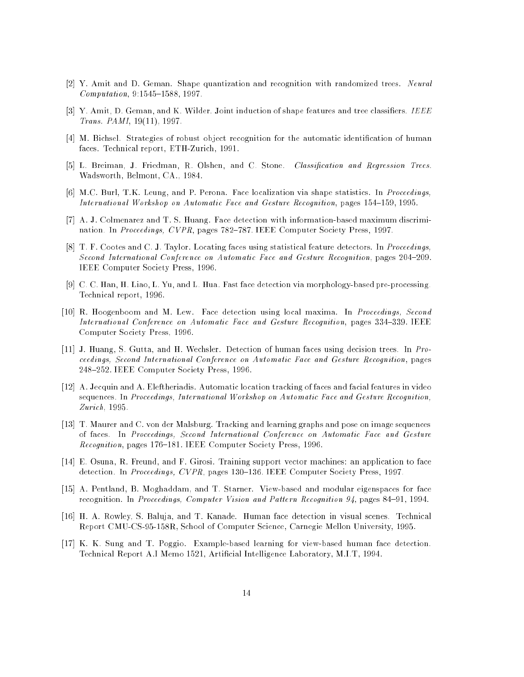- [2] Y. Amit and D. Geman. Shape quantization and recognition with randomized trees. Neural  $Computation, 9:1545-1588, 1997.$
- [3] Y. Amit, D. Geman, and K. Wilder. Joint induction of shape features and tree classifiers. IEEE Trans. PAMI, 19(11), 1997.
- [4] M. Bichsel. Strategies of robust object recognition for the automatic identification of human faces. Technical report, ETH-Zurich, 1991.
- [5] L. Breiman, J. Friedman, R. Olshen, and C. Stone. Classication and Regression Trees. Wadsworth, Belmont, CA., 1984.
- [6] M.C. Burl, T.K. Leung, and P. Perona. Face localization via shape statistics. In Proceedings, International Workshop on Automatic Face and Gesture Recognition, pages 154-159, 1995.
- [7] A. J. Colmenarez and T. S. Huang. Face detection with information-based maximum discrimination. In Proceedings, CVPR, pages 782-787. IEEE Computer Society Press, 1997.
- [8] T. F. Cootes and C. J. Taylor. Locating faces using statistical feature detectors. In Proceedings, Second International Conference on Automatic Face and Gesture Recognition, pages 204-209. IEEE Computer Society Press, 1996.
- [9] C. C. Han, H. Liao, L. Yu, and L. Hua. Fast face detection via morphology-based pre-processing. Technical report, 1996.
- [10] R. Hoogenboom and M. Lew. Face detection using local maxima. In Proceedings, Second International Conference on Automatic Face and Gesture Recognition, pages 334-339. IEEE Computer Society Press, 1996.
- [11] J. Huang, S. Gutta, and H. Wechsler. Detection of human faces using decision trees. In Proceedings, Second International Conference on Automatic Face and Gesture Recognition, pages 248{252. IEEE Computer Society Press, 1996.
- [12] A. Jecquin and A. Eleftheriadis. Automatic location tracking of faces and facial features in video sequences. In Proceedings, International Workshop on Automatic Face and Gesture Recognition, Zurich, 1995.
- [13] T. Maurer and C. von der Malsburg. Tracking and learning graphs and pose on image sequences of faces. In Proceedings, Second International Conference on Automatic Face and Gesture Recognition, pages 176-181. IEEE Computer Society Press, 1996.
- [14] E. Osuna, R. Freund, and F. Girosi. Training support vector machines: an application to face detection. In *Proceedings, CVPR*, pages 130–136. IEEE Computer Society Press, 1997.
- [15] A. Pentland, B. Moghaddam, and T. Starner. View-based and modular eigenspaces for face recognition. In Proceedings, Computer Vision and Pattern Recognition  $94$ , pages 84-91, 1994.
- [16] H. A. Rowley, S. Baluja, and T. Kanade. Human face detection in visual scenes. Technical Report CMU-CS-95-158R, School of Computer Science, Carnegie Mellon University, 1995.
- [17] K. K. Sung and T. Poggio. Example-based learning for view-based human face detection. Technical Report A.I Memo 1521, Artificial Intelligence Laboratory, M.I.T, 1994.